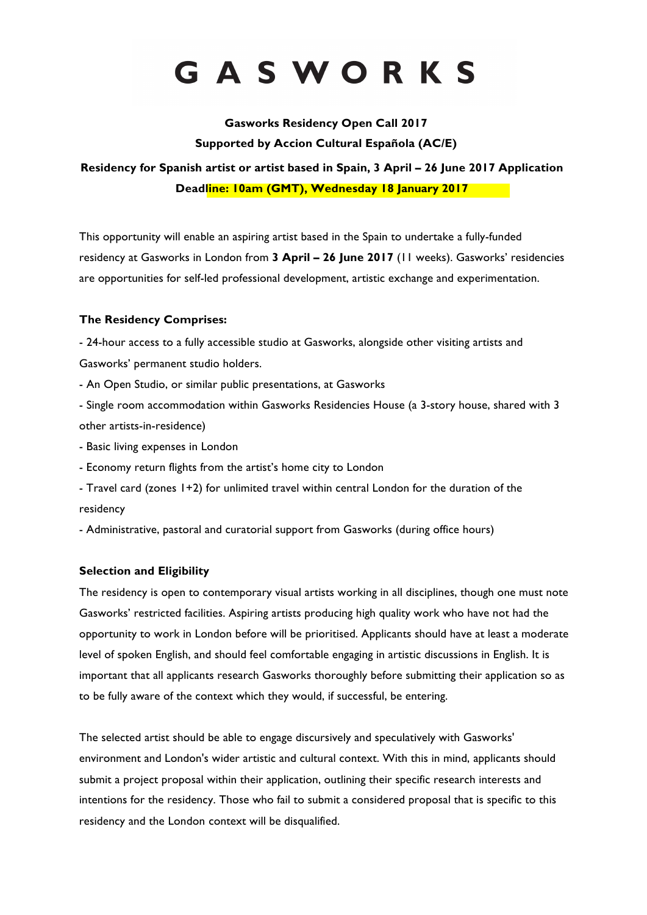# GASWORKS

**Gasworks Residency Open Call 2017 Supported by Accion Cultural Española (AC/E)**

**Residency for Spanish artist or artist based in Spain, 3 April – 26 June 2017 Application Deadline: 10am (GMT), Wednesday 18 January 2017** 

This opportunity will enable an aspiring artist based in the Spain to undertake a fully-funded residency at Gasworks in London from **3 April – 26 June 2017** (11 weeks). Gasworks' residencies are opportunities for self-led professional development, artistic exchange and experimentation.

### **The Residency Comprises:**

- 24-hour access to a fully accessible studio at Gasworks, alongside other visiting artists and Gasworks' permanent studio holders.

- An Open Studio, or similar public presentations, at Gasworks

- Single room accommodation within Gasworks Residencies House (a 3-story house, shared with 3 other artists-in-residence)

- Basic living expenses in London
- Economy return flights from the artist's home city to London
- Travel card (zones 1+2) for unlimited travel within central London for the duration of the residency

- Administrative, pastoral and curatorial support from Gasworks (during office hours)

#### **Selection and Eligibility**

The residency is open to contemporary visual artists working in all disciplines, though one must note Gasworks' restricted facilities. Aspiring artists producing high quality work who have not had the opportunity to work in London before will be prioritised. Applicants should have at least a moderate level of spoken English, and should feel comfortable engaging in artistic discussions in English. It is important that all applicants research Gasworks thoroughly before submitting their application so as to be fully aware of the context which they would, if successful, be entering.

The selected artist should be able to engage discursively and speculatively with Gasworks' environment and London's wider artistic and cultural context. With this in mind, applicants should submit a project proposal within their application, outlining their specific research interests and intentions for the residency. Those who fail to submit a considered proposal that is specific to this residency and the London context will be disqualified.